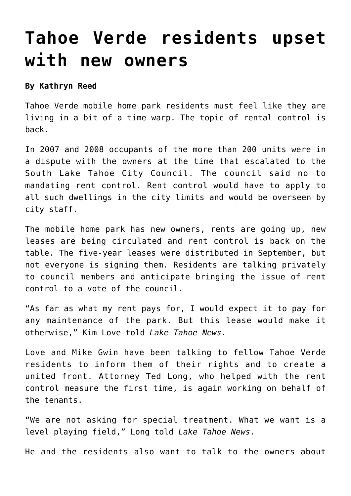## **[Tahoe Verde residents upset](https://www.laketahoenews.net/2013/10/tahoe-verde-residents-upset-new-owners/) [with new owners](https://www.laketahoenews.net/2013/10/tahoe-verde-residents-upset-new-owners/)**

## **By Kathryn Reed**

Tahoe Verde mobile home park residents must feel like they are living in a bit of a time warp. The topic of rental control is back.

In 2007 and 2008 occupants of the more than 200 units were in a dispute with the owners at the time that escalated to the South Lake Tahoe City Council. The council said no to mandating rent control. Rent control would have to apply to all such dwellings in the city limits and would be overseen by city staff.

The mobile home park has new owners, rents are going up, new leases are being circulated and rent control is back on the table. The five-year leases were distributed in September, but not everyone is signing them. Residents are talking privately to council members and anticipate bringing the issue of rent control to a vote of the council.

"As far as what my rent pays for, I would expect it to pay for any maintenance of the park. But this lease would make it otherwise," Kim Love told *Lake Tahoe News*.

Love and Mike Gwin have been talking to fellow Tahoe Verde residents to inform them of their rights and to create a united front. Attorney Ted Long, who helped with the rent control measure the first time, is again working on behalf of the tenants.

"We are not asking for special treatment. What we want is a level playing field," Long told *Lake Tahoe News*.

He and the residents also want to talk to the owners about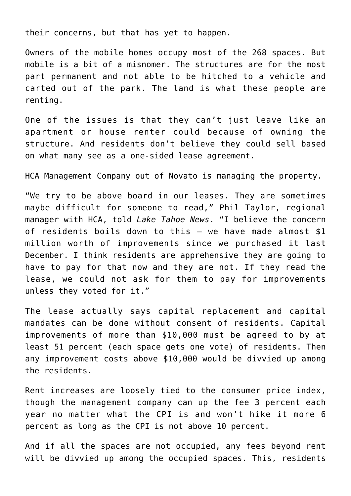their concerns, but that has yet to happen.

Owners of the mobile homes occupy most of the 268 spaces. But mobile is a bit of a misnomer. The structures are for the most part permanent and not able to be hitched to a vehicle and carted out of the park. The land is what these people are renting.

One of the issues is that they can't just leave like an apartment or house renter could because of owning the structure. And residents don't believe they could sell based on what many see as a one-sided lease agreement.

HCA Management Company out of Novato is managing the property.

"We try to be above board in our leases. They are sometimes maybe difficult for someone to read," Phil Taylor, regional manager with HCA, told *Lake Tahoe News*. "I believe the concern of residents boils down to this – we have made almost \$1 million worth of improvements since we purchased it last December. I think residents are apprehensive they are going to have to pay for that now and they are not. If they read the lease, we could not ask for them to pay for improvements unless they voted for it."

The lease actually says capital replacement and capital mandates can be done without consent of residents. Capital improvements of more than \$10,000 must be agreed to by at least 51 percent (each space gets one vote) of residents. Then any improvement costs above \$10,000 would be divvied up among the residents.

Rent increases are loosely tied to the consumer price index, though the management company can up the fee 3 percent each year no matter what the CPI is and won't hike it more 6 percent as long as the CPI is not above 10 percent.

And if all the spaces are not occupied, any fees beyond rent will be divvied up among the occupied spaces. This, residents